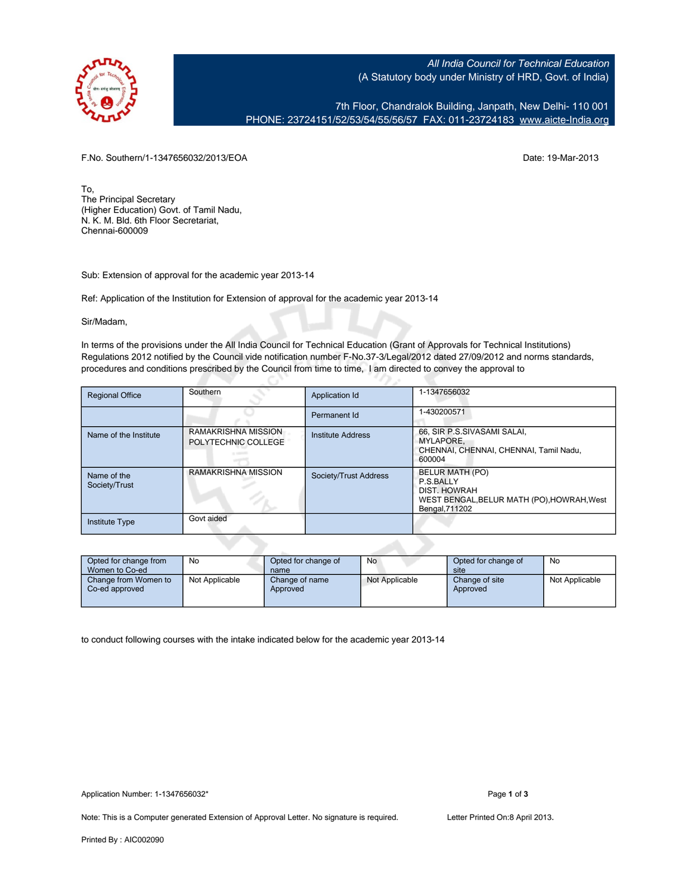

All India Council for Technical Education (A Statutory body under Ministry of HRD, Govt. of India)

7th Floor, Chandralok Building, Janpath, New Delhi- 110 001 PHONE: 23724151/52/53/54/55/56/57 FAX: 011-23724183 [www.aicte-India.org](http://www.aicte-India.org)

F.No. Southern/1-1347656032/2013/EOA Date: 19-Mar-2013

To, The Principal Secretary (Higher Education) Govt. of Tamil Nadu, N. K. M. Bld. 6th Floor Secretariat, Chennai-600009

Sub: Extension of approval for the academic year 2013-14

Ref: Application of the Institution for Extension of approval for the academic year 2013-14

Sir/Madam,

In terms of the provisions under the All India Council for Technical Education (Grant of Approvals for Technical Institutions) Regulations 2012 notified by the Council vide notification number F-No.37-3/Legal/2012 dated 27/09/2012 and norms standards, procedures and conditions prescribed by the Council from time to time, I am directed to convey the approval to

25

| <b>Regional Office</b>       | Southern                                   | Application Id        | 1-1347656032                                                                                                 |
|------------------------------|--------------------------------------------|-----------------------|--------------------------------------------------------------------------------------------------------------|
|                              |                                            | Permanent Id          | 1-430200571                                                                                                  |
| Name of the Institute        | RAMAKRISHNA MISSION<br>POLYTECHNIC COLLEGE | Institute Address     | 66, SIR P.S.SIVASAMI SALAI,<br>MYLAPORE.<br>CHENNAI, CHENNAI, CHENNAI, Tamil Nadu.<br>600004                 |
| Name of the<br>Society/Trust | RAMAKRISHNA MISSION                        | Society/Trust Address | BELUR MATH (PO)<br>P.S.BALLY<br>DIST. HOWRAH<br>WEST BENGAL, BELUR MATH (PO), HOWRAH, West<br>Bengal, 711202 |
| Institute Type               | Govt aided                                 |                       |                                                                                                              |

| Opted for change from<br>Women to Co-ed | No             | Opted for change of<br>name | No             | Opted for change of<br>site | No             |
|-----------------------------------------|----------------|-----------------------------|----------------|-----------------------------|----------------|
| Change from Women to<br>Co-ed approved  | Not Applicable | Change of name<br>Approved  | Not Applicable | Change of site<br>Approved  | Not Applicable |

to conduct following courses with the intake indicated below for the academic year 2013-14

Note: This is a Computer generated Extension of Approval Letter. No signature is required. Letter Printed On:8 April 2013.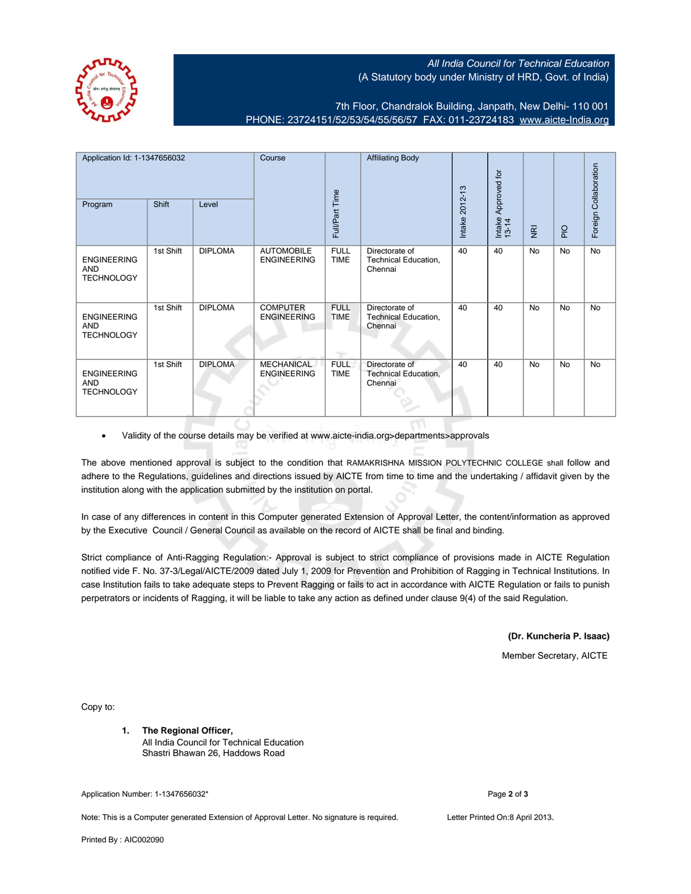## All India Council for Technical Education (A Statutory body under Ministry of HRD, Govt. of India)

7th Floor, Chandralok Building, Janpath, New Delhi- 110 001 PHONE: 23724151/52/53/54/55/56/57 FAX: 011-23724183 [www.aicte-India.org](http://www.aicte-India.org)

| Application Id: 1-1347656032<br>Shift<br>Level |           | Course         |                                         | <b>Affiliating Body</b>    |                                                   | Approved for       |                 |                         | Foreign Collaboration |           |
|------------------------------------------------|-----------|----------------|-----------------------------------------|----------------------------|---------------------------------------------------|--------------------|-----------------|-------------------------|-----------------------|-----------|
| Program                                        |           |                |                                         | Full/Part Time             |                                                   | 2012-13<br>Intake: | Intake<br>13-14 | $\overline{\mathbf{g}}$ | $rac{O}{P}$           |           |
| <b>ENGINEERING</b><br>AND<br><b>TECHNOLOGY</b> | 1st Shift | <b>DIPLOMA</b> | <b>AUTOMOBILE</b><br><b>ENGINEERING</b> | <b>FULL</b><br><b>TIME</b> | Directorate of<br>Technical Education,<br>Chennai | 40                 | 40              | <b>No</b>               | <b>No</b>             | <b>No</b> |
| <b>ENGINEERING</b><br>AND<br><b>TECHNOLOGY</b> | 1st Shift | <b>DIPLOMA</b> | <b>COMPUTER</b><br><b>ENGINEERING</b>   | <b>FULL</b><br><b>TIME</b> | Directorate of<br>Technical Education,<br>Chennai | 40                 | 40              | <b>No</b>               | <b>No</b>             | <b>No</b> |
| <b>ENGINEERING</b><br>AND<br><b>TECHNOLOGY</b> | 1st Shift | <b>DIPLOMA</b> | <b>MECHANICAL</b><br><b>ENGINEERING</b> | <b>FULL</b><br><b>TIME</b> | Directorate of<br>Technical Education,<br>Chennai | 40                 | 40              | <b>No</b>               | <b>No</b>             | <b>No</b> |

• Validity of the course details may be verified at www.aicte-india.org>departments>approvals

The above mentioned approval is subject to the condition that RAMAKRISHNA MISSION POLYTECHNIC COLLEGE shall follow and adhere to the Regulations, guidelines and directions issued by AICTE from time to time and the undertaking / affidavit given by the institution along with the application submitted by the institution on portal.

In case of any differences in content in this Computer generated Extension of Approval Letter, the content/information as approved by the Executive Council / General Council as available on the record of AICTE shall be final and binding.

Strict compliance of Anti-Ragging Regulation:- Approval is subject to strict compliance of provisions made in AICTE Regulation notified vide F. No. 37-3/Legal/AICTE/2009 dated July 1, 2009 for Prevention and Prohibition of Ragging in Technical Institutions. In case Institution fails to take adequate steps to Prevent Ragging or fails to act in accordance with AICTE Regulation or fails to punish perpetrators or incidents of Ragging, it will be liable to take any action as defined under clause 9(4) of the said Regulation.

**(Dr. Kuncheria P. Isaac)**

Member Secretary, AICTE

Copy to:

**1. The Regional Officer,** All India Council for Technical Education Shastri Bhawan 26, Haddows Road

Application Number: 1-1347656032\* Page **2** of **3**

Note: This is a Computer generated Extension of Approval Letter. No signature is required. Letter Printed On:8 April 2013.